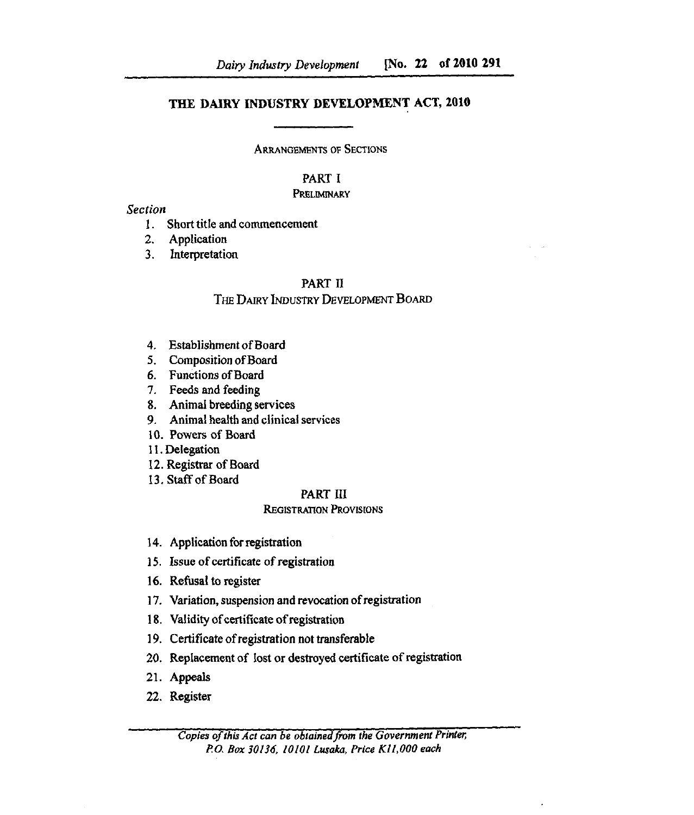# THE DAIRY INDUSTRY DEVELOPMENT ACT, 2010

ARRANGEMENTS OF SECTIONS

# PART I

#### **PRELIMINARY**

#### Section

- Short title and commencement
- $2.$ Application
- Interpretation  $3<sub>1</sub>$

# PART II

# THE DAIRY INDUSTRY DEVELOPMENT BOARD

- Establishment of Board
- 5. Composition of Board
- 6. Functions of Board
- 7. Feeds and feeding
- Animal breeding services
- Animal health and clinical services
- 10. Powers of Board
- 11. Delegation
- 12. Registrar of Board
- 13. Staff of Board

# PART III

# REGISTRATION PROVISIONS

- 14. Application for registration
- 15. Issue of certificate of registration
- 16. Refusal to register
- 17. Variation, suspension and revocation of registration
- 18. Validity of certificate of registration
- 19. Certificate of registration not transferable
- 20. Replacement of lost or destroyed certificate of registration
- Appeals
- 22. Register

*Copies of this Act can be obtained from the Government Printer; P.O. Box 30136, 10101 Lusaka, Price K11,000 each*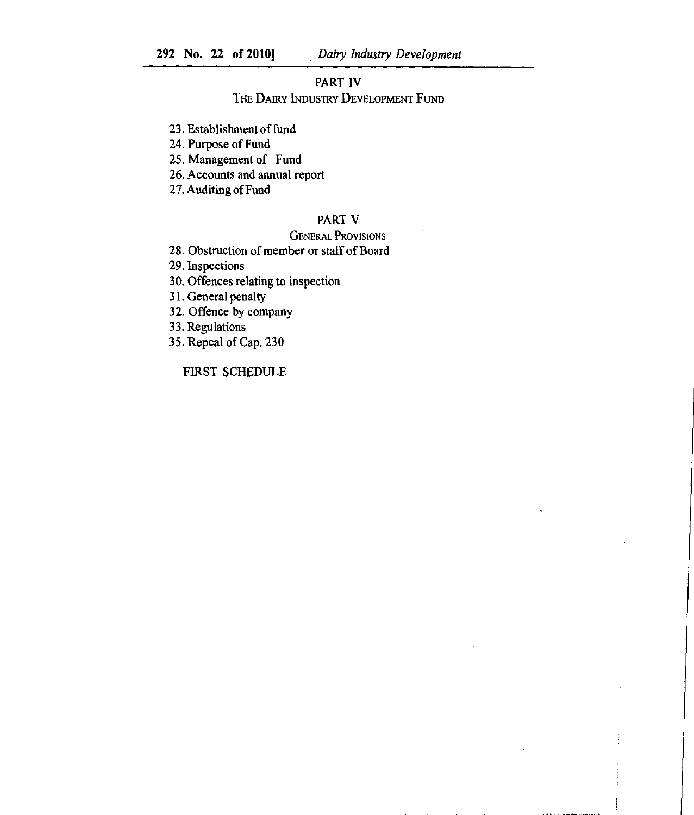# PART IV

THE DAIRY INDUSTRY DEVELOPMENT FUND

23. Establishment of fund

24. Purpose of Fund

25. Management of Fund

26. Accounts and annual report

27. Auditing of Fund

# PART V

# GENERAL PROVISIONS.

28. Obstruction of member or staff of Board

29. Inspections

30. Offences relating to inspection

31. General penalty

32. Offence by company

33. Regulations

35. Repeal of Cap. 230

FIRST SCHEDULE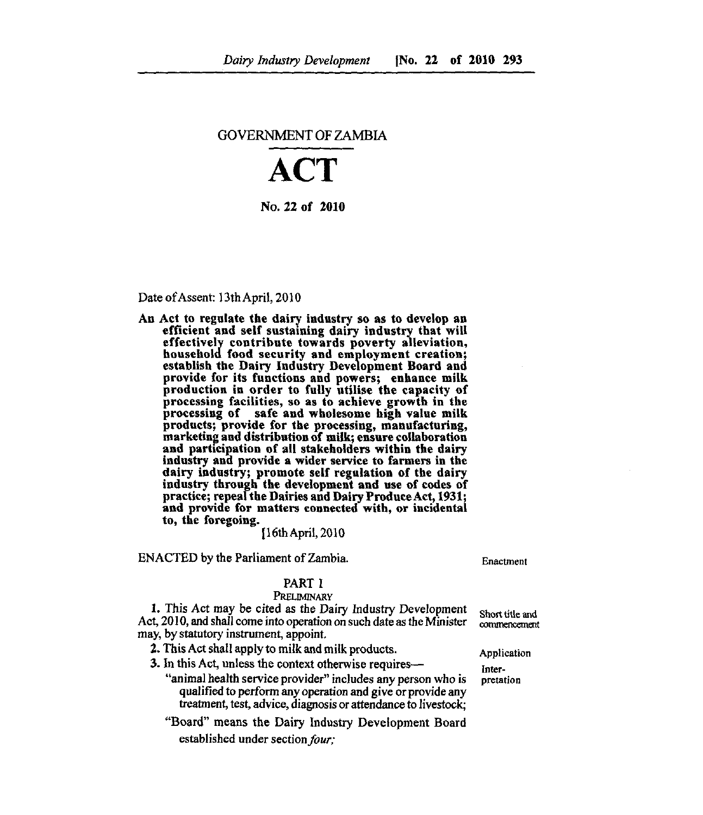#### GOVERNMENT OF ZAMBIA

# **ACT**

No. 22 of 2010

#### Date of Assent: 13th April, 2010

An Act to regulate the dairy industry so as to develop an efficient and self sustaining dairy industry that will effectively contribute towards poverty alleviation, household food security and employment creation; establish the Dairy Industry Development Board and provide for its functions and powers; enhance milk production in order to fully utilise the capacity of processing facilities, so as to achieve growth in the processing of safe and wholesome high value milk products; provide for the processing, manufacturing, marketing and distribution of milk; ensure collaboration and participation of all stakeholders within the dairy industry and provide a wider service to farmers in the dairy industry; promote self regulation of the dairy industry through the development and use of codes of practice; repeal the Dairies and Dairy Produce Act, 1931; and provide for matters connected with, or incidental to, the foregoing.

[16thApril, 2010

ENACTED by the Parliament of Zambia. Enactment

Application Interpretation

# PART I

#### **PRELIMINARY**

1. This Act may be cited as the Dairy Industry Development Act, 2010, and shall come into operation on such date as the Minister may, by statutory instrument, appoint. Short title and commencement

2. This Act shall apply to milk and milk products.

3. In this Act, unless the context otherwise requires—

- "animal health service provide?' includes any person who is qualified to perform *any* operation and give or provide any treatment, test, advice, diagnosis or attendance to livestock;
- "Board" means the Dairy Industry Development Board established under section *four;*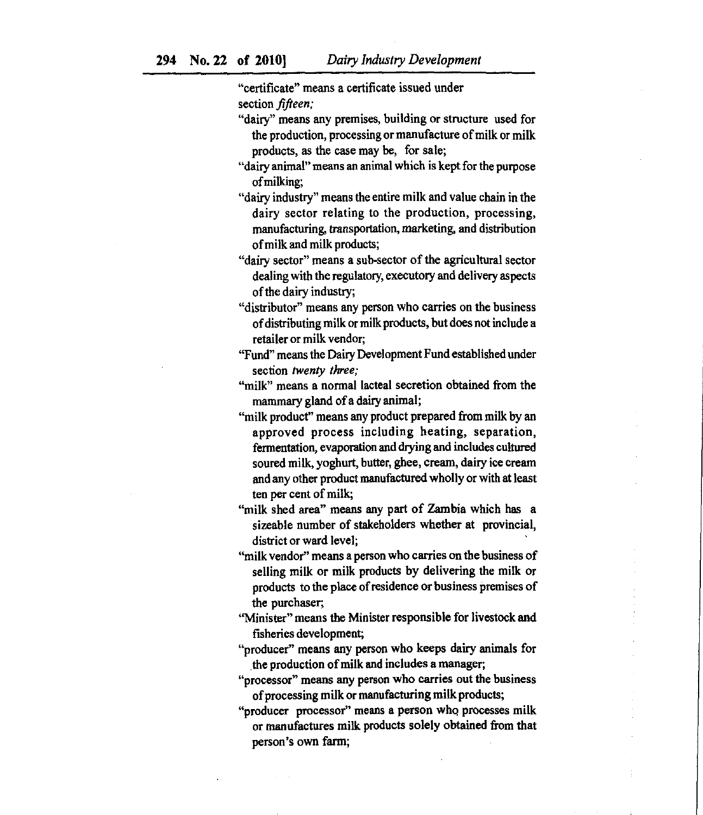"certificate" means a certificate issued under section *fifteen;*

- "dairy" means any premises, building or structure used for the production, processing or manufacture of milk or milk products, as the case may be, for sale;
- "dairy animal" means an animal which is kept for the purpose of milking;
- "dairy industry" means the entire milk and value chain in the dairy sector relating to the production, processing, manufacturing, transportation, marketing, and distribution of milk and milk products;
- "dairy sector" means a sub-sector of the agricultural sector dealing with the regulatory, executory and delivery aspects of the dairy industry;
- "distributor" means any person who carries on the business of distributing milk or milk products, but does not include a retailer or milk vendor;
- "Fund" means the Dairy Development Fund established under section *twenty three;*
- *"milk" means* a normal lacteal secretion obtained from the mammary gland of a dairy animal;
- "milk product" means any product prepared from milk by an approved process including heating, separation, fermentation, evaporation and drying and includes cultured soured milk, yoghurt, butter, ghee, cream, dairy ice cream and any other product manufactured wholly or with at least ten per cent of milk;
- "milk shed area" means any part of Zambia which has a sizeable number of stakeholders whether at provincial, district or ward level;
- "milk vendor" means a person who carries on the business of selling milk or milk products by delivering the milk or products to the place of residence or business premises of the purchaser;
- "Minister" means the Minister responsible for livestock and fisheries development;
- "producer" means any person who keeps dairy animals for the production of milk and includes a manager;
- "processor" means any person who carries out the business of processing milk or manufacturing milk products;
- "producer processor" means a person who processes milk or manufactures milk products solely obtained from that person's own farm;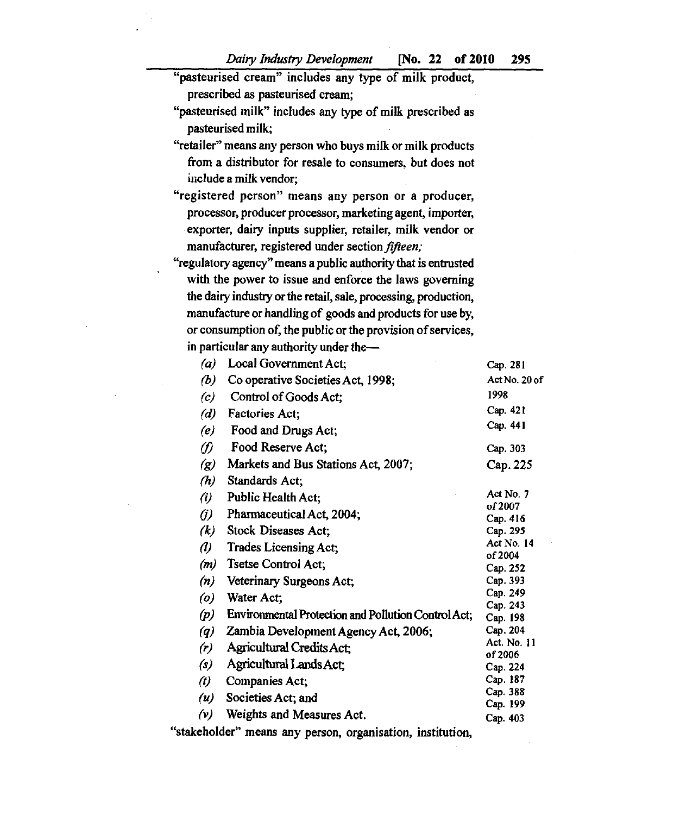$\bar{z}$ 

| "pasteurised cream" includes any type of milk product,          |                                                            |                           |
|-----------------------------------------------------------------|------------------------------------------------------------|---------------------------|
|                                                                 | prescribed as pasteurised cream;                           |                           |
| "pasteurised milk" includes any type of milk prescribed as      |                                                            |                           |
| pasteurised milk;                                               |                                                            |                           |
| "retailer" means any person who buys milk or milk products      |                                                            |                           |
| from a distributor for resale to consumers, but does not        |                                                            |                           |
| include a milk vendor;                                          |                                                            |                           |
|                                                                 |                                                            |                           |
| "registered person" means any person or a producer,             |                                                            |                           |
| processor, producer processor, marketing agent, importer,       |                                                            |                           |
| exporter, dairy inputs supplier, retailer, milk vendor or       |                                                            |                           |
| manufacturer, registered under section fifteen;                 |                                                            |                           |
| "regulatory agency" means a public authority that is entrusted  |                                                            |                           |
| with the power to issue and enforce the laws governing          |                                                            |                           |
| the dairy industry or the retail, sale, processing, production, |                                                            |                           |
| manufacture or handling of goods and products for use by,       |                                                            |                           |
| or consumption of, the public or the provision of services,     |                                                            |                           |
|                                                                 | in particular any authority under the-                     |                           |
| (a)                                                             | Local Government Act;                                      |                           |
| (b)                                                             | Co operative Societies Act, 1998;                          | Cap. 281<br>Act No. 20 of |
|                                                                 |                                                            | 1998                      |
|                                                                 | (c) Control of Goods Act;                                  | Cap. 421                  |
|                                                                 | (d) Factories Act;                                         | Cap. 441                  |
|                                                                 | (e) Food and Drugs Act;                                    |                           |
| $\omega$                                                        | <b>Food Reserve Act;</b>                                   | Cap. 303                  |
| $\left( g\right)$                                               | Markets and Bus Stations Act, 2007;                        | Cap. 225                  |
| (h)                                                             | Standards Act;                                             |                           |
| (i)                                                             | Public Health Act;                                         | Act No. 7                 |
| (j)                                                             | Pharmaceutical Act, 2004;                                  | of 2007<br>Cap. 416       |
|                                                                 | $(k)$ Stock Diseases Act;                                  | Cap. 295                  |
| $\omega$                                                        | Trades Licensing Act;                                      | Act No. 14                |
|                                                                 | $(m)$ Tsetse Control Act;                                  | of 2004                   |
| (n)                                                             | Veterinary Surgeons Act;                                   | Cap. 252<br>Cap. 393      |
|                                                                 | Water Act;                                                 | Cap. 249                  |
| $\left( o \right)$                                              |                                                            | Cap. 243                  |
| (p)                                                             | <b>Environmental Protection and Pollution Control Act;</b> | Cap. 198                  |
| $\left( q\right)$                                               | Zambia Development Agency Act, 2006;                       | Cap. 204<br>Act. No. 11   |
| (r)                                                             | <b>Agricultural Credits Act:</b>                           | of 2006                   |
| $\left( s\right)$                                               | Agricultural Lands Act:                                    | Cap. 224                  |
| $\left(t\right)$                                                | Companies Act;                                             | Cap. 187                  |
| (u)                                                             | Societies Act; and                                         | Cap. 388<br>Cap. 199      |
| (v)                                                             | Weights and Measures Act.                                  | Cap. 403                  |

 $\ddot{\phantom{0}}$ 

÷,

"stakeholder" means any person, organisation, institution,

 $\mathcal{A}^{\mathcal{A}}$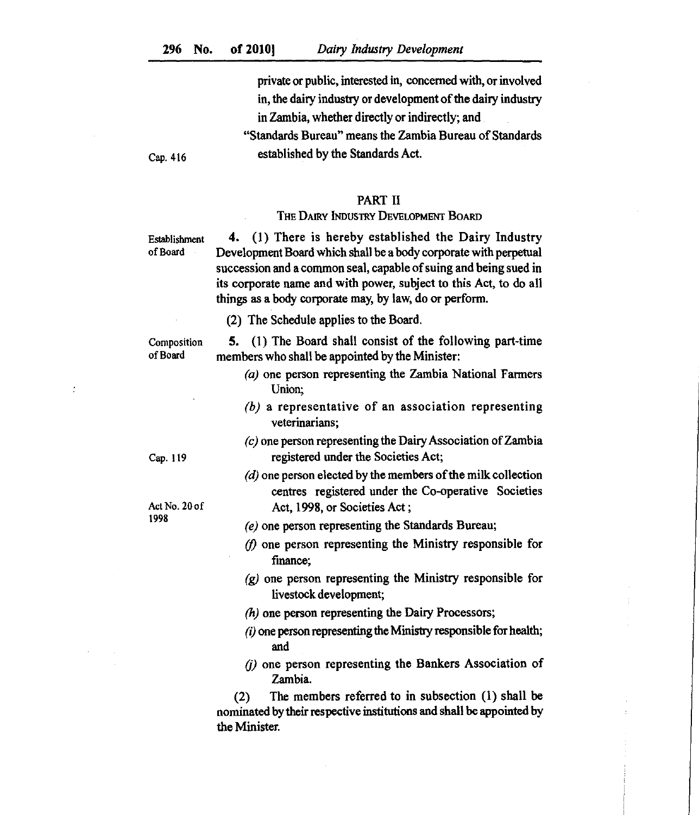private or public, interested in, concerned with, or involved in, the dairy industry or development of the dairy industry in Zambia, whether directly or indirectly; and

"Standards Bureau" means the Zambia Bureau of Standards Cap. 416 established by the Standards Act.

# PART II

#### THE DAIRY INDUSTRY DEVELOPMENT BOARD

Establishment of Board

4. (1) There is hereby established the Dairy Industry Development Board which shall be a body corporate with perpetual succession and a common seal, capable of suing and being sued in its corporate name and with power, subject to this Act, to do all things as a body corporate may, by law, do or perform.

(2) The Schedule applies to the Board.

Composition of Board

(1) The Board shall consist of the following part-time members who shall be appointed by the Minister:

- $(a)$  one person representing the Zambia National Farmers Union;
- $(b)$  a representative of an association representing veterinarians;
- $(c)$  one person representing the Dairy Association of Zambia registered under the Societies Act;
- $\langle d \rangle$  one person elected by the members of the milk collection centres registered under the Co-operative Societies Act, 1998, or Societies Act ;
- *(e)* one person representing the Standards Bureau;
- *(1)* one person representing the Ministry responsible for finance;
- $(q)$  one person representing the Ministry responsible for livestock development;
- $(h)$  one person representing the Dairy Processors;
- $(i)$  one person representing the Ministry responsible for health; and
- $(i)$  one person representing the Bankers Association of Zambia.

(2) The members referred to in subsection (1) shall be nominated by their respective institutions and shall be appointed by the Minister.

Cap. 119

ċ

Act No. 20 of 1998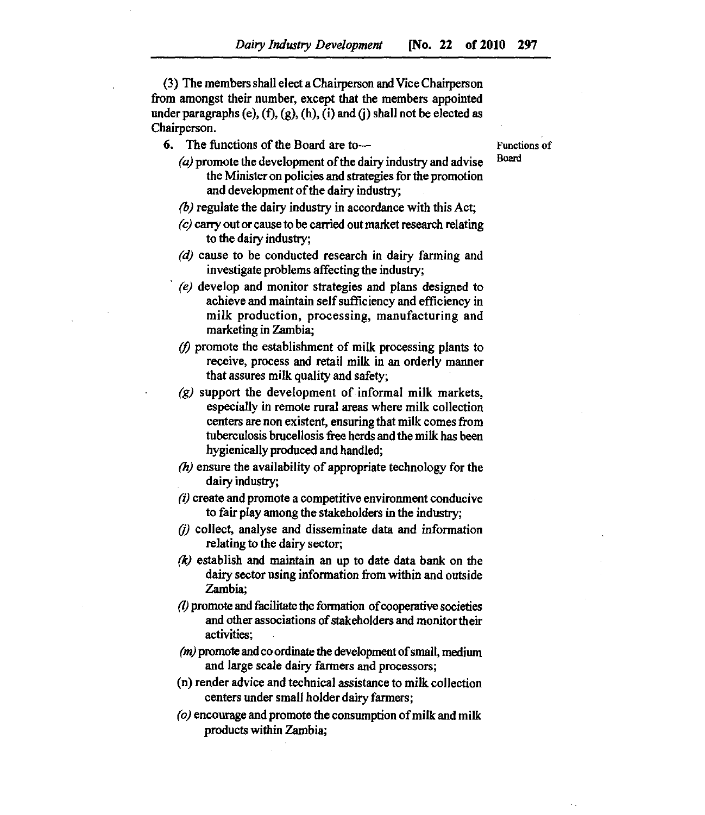(3) The members shall elect a Chairperson and Vice Chairperson from amongst their number, except that the members appointed under paragraphs (e),  $(f)$ ,  $(g)$ ,  $(h)$ ,  $(i)$  and  $(i)$  shall not be elected as Chairperson.

6. The functions of the Board are to—

Functions of Board

- *(a)* promote the development of the dairy industry and advise the Minister on policies and strategies for the promotion and development of the dairy industry;
- (6) regulate the dairy industry in accordance with this Act;
- $(c)$  carry out or cause to be carried out market research relating to the dairy industry;
- (d) cause to be conducted research in dairy farming and investigate problems affecting the industry;
- *(e)* develop and monitor strategies and plans designed to achieve and maintain self sufficiency and efficiency in milk production, processing, manufacturing and marketing in Zambia;
- $(f)$  promote the establishment of milk processing plants to receive, process and retail milk in an orderly manner that assures milk quality and safety;
- $(g)$  support the development of informal milk markets, especially in remote rural areas where milk collection centers are non existent, ensuring that milk comes from tuberculosis brucellosis free herds and the milk has been hygienically produced and handled;
- $(h)$  ensure the availability of appropriate technology for the dairy industry;
- *(i)* create and promote a competitive environment conducive to fair play among the stakeholders in the industry;
- $(i)$  collect, analyse and disseminate data and information relating to the dairy sector;
- *(k)* establish and maintain *an* up to date data bank on the dairy sector using information from within and outside Zambia;
- (7) promote and facilitate the formation of cooperative societies and other associations of stakeholders and monitor their activities;
- *(m)* promote and co ordinate the development of small, medium and large scale dairy fanners and processors;
- (n) render advice and technical assistance to milk collection centers under small holder dairy farmers;
- *(o)* encourage and promote the consumption of milk and milk products within Zambia;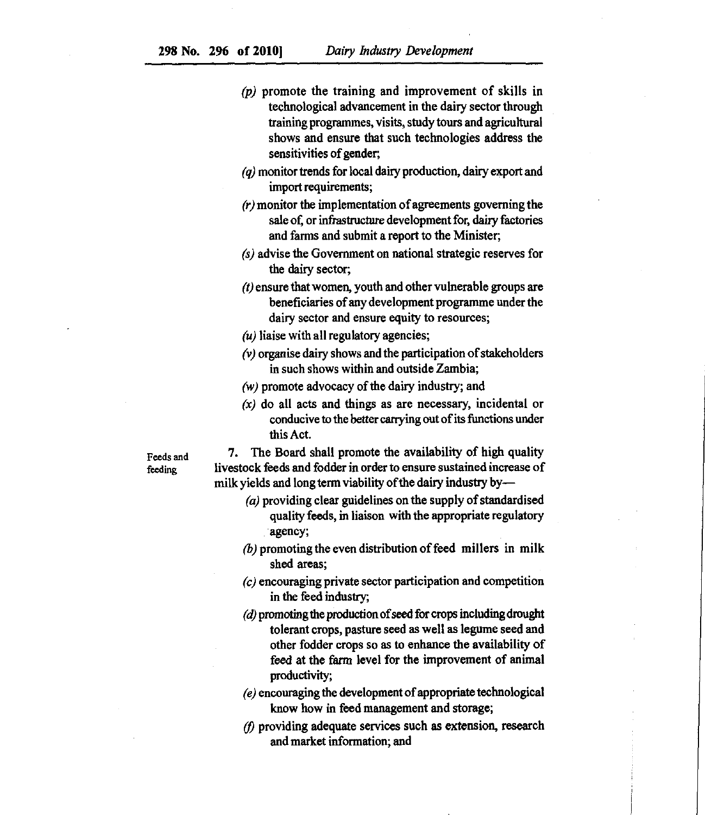- $(p)$  promote the training and improvement of skills in technological advancement in the dairy sector through training programmes, visits, study tours and agricultural shows and ensure that such technologies address the sensitivities of gender;
- $\gamma$  monitor trends for local dairy production, dairy export and import requirements;
- $(r)$  monitor the implementation of agreements governing the sale of, or infrastructure development for, dairy factories and farms and submit a report to the Minister;
- $(s)$  advise the Government on national strategic reserves for the dairy sector;
- $(t)$  ensure that women, youth and other vulnerable groups are beneficiaries of any development programme under the dairy sector and ensure equity to resources;
- $(u)$  liaise with all regulatory agencies;
- $(v)$  organise dairy shows and the participation of stakeholders in such shows within and outside Zambia;
- $(w)$  promote advocacy of the dairy industry; and
- $(x)$  do all acts and things as are necessary, incidental or conducive to the better carrying out of its functions under this Act.

**Feeds and feeding**

7. The Board shall promote the availability of high quality livestock feeds and fodder in order to ensure sustained increase of milk yields and long term viability of the dairy industry by—

- $(a)$  providing clear guidelines on the supply of standardised quality feeds, in liaison with the appropriate regulatory agency;
- $(b)$  promoting the even distribution of feed millers in milk shed areas;
- $(c)$  encouraging private sector participation and competition in the feed industry;
- $(d)$  promoting the production of seed for crops including drought tolerant crops, pasture seed as well as legume seed and other fodder crops so as to enhance the availability of feed at the *farm* level for the improvement of animal productivity;
- *(e)* encouraging the development of appropriate technological know how in feed management and storage;
- *(I)* providing adequate services such as extension, research and market information; and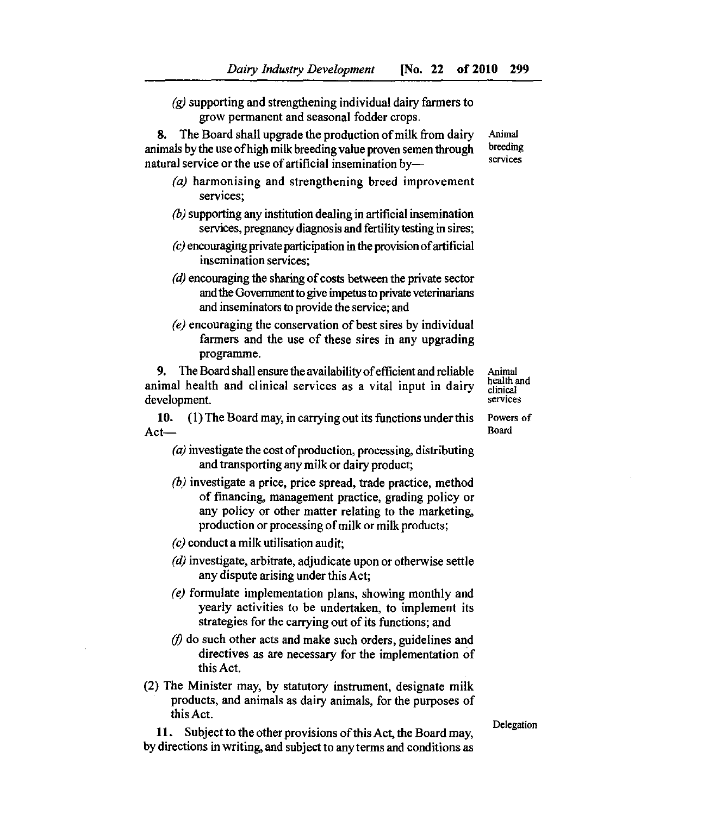(g) supporting and strengthening individual dairy farmers to grow permanent and seasonal fodder crops.

8. The Board shall upgrade the production of milk from dairy animals by the use of high milk breeding value proven semen through natural service or the use of artificial insemination by—

- (a) harmonising and strengthening breed improvement services;
- $\langle b \rangle$  supporting any institution dealing in artificial insemination services, pregnancy diagnosis and fertility testing in sires;
- $(c)$  encouraging private participation in the provision of artificial insemination services;
- $\alpha$  encouraging the sharing of costs between the private sector and the Government to give impetus to private veterinarians and inseminators to provide the service; and
- *(e)* encouraging the conservation of best sires by individual farmers and the use of these sires in any upgrading programme.

9. The Board shall ensure the availability of efficient and reliable Animal animal health and clinical services as a vital input in dairy clinical development. development.

10. (1) The Board may, in carrying out its functions under this Powers of Act—<br>Board Act—
Board
Board
Board
Board
Board
Board
Board
Board
Board
Board
Board
Board
Board
Board
Board
Board
Board
Board
Board
Board
Board
Board
Board
Board
Board
Board
Board
Board
Board
Board
Board
Board
Board
Board
Board
Board
B

- $\alpha$  investigate the cost of production, processing, distributing and transporting any milk or dairy product;
- $\langle b \rangle$  investigate a price, price spread, trade practice, method of financing, management practice, grading policy or any policy or other matter relating to the marketing, production or processing of milk or milk products;

 $(c)$  conduct a milk utilisation audit;

- $(d)$  investigate, arbitrate, adjudicate upon or otherwise settle any dispute arising under this Act;
- *(e)* formulate implementation plans, showing monthly and yearly activities to be undertaken, to implement its strategies for the carrying out of its functions; and
- $(f)$  do such other acts and make such orders, guidelines and directives as are necessary for the implementation of this Act.
- (2) The Minister may, by statutory instrument, designate milk products, and animals as dairy animals, for the purposes of this Act.

11. Subject to the other provisions of this Act, the Board may, by directions in writing, and subject to *any* terms and conditions as Delegation

health and

Animal breeding services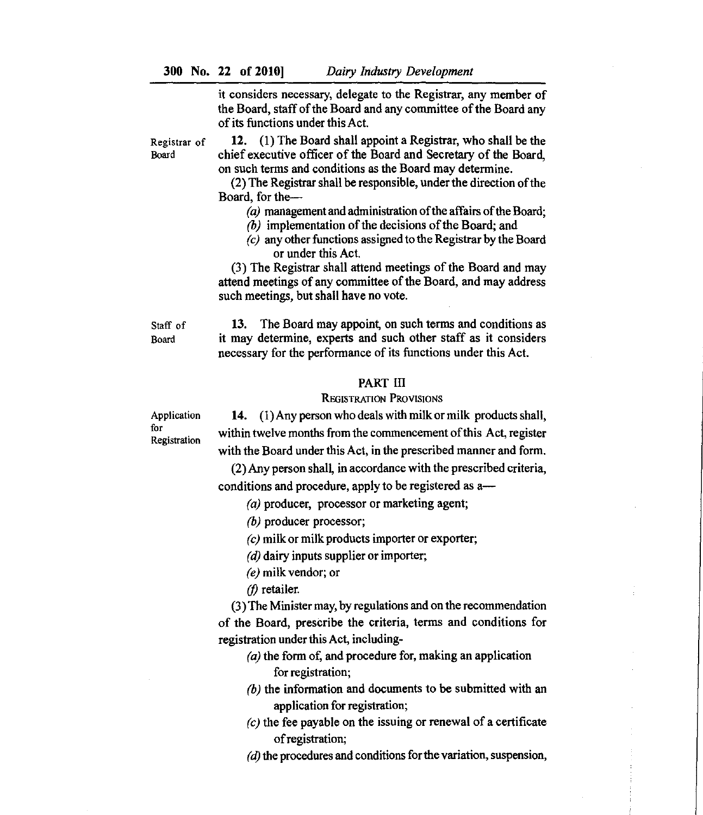300 No. 22 of 2010] *Dairy Industry Development*

it considers necessary, delegate to the Registrar, any member of the Board, staff of the Board and any committee of the Board any of its functions under this Act.

Registrar of 12. (1) The Board shall appoint a Registrar, who shall be the Board chief executive officer of the Board and Secretary of the Board, on such terms and conditions as the Board may determine.

> (2) The Registrar shall be responsible, under the direction of the Board, for the—

- $(a)$  management and administration of the affairs of the Board;
- $(b)$  implementation of the decisions of the Board; and
- *(c)* any other functions assigned to the Registrar by the Board or under this Act.

(3) The Registrar shall attend meetings of the Board and may attend meetings of any committee of the Board, and may address such meetings, but shall have no vote.

Staff of 13. The Board may appoint, on such terms and conditions as Board it may determine, experts and such other staff as it considers necessary for the performance of its functions under this Act.

#### PART III

#### REGISTRATION PROVISIONS

**14.** (1) Any person who deals with milk or milk products shall, within twelve months from the commencement of this Act, register with the Board under this Act, in the prescribed manner and form.

(2) Any person shall, in accordance with the prescribed criteria, conditions and procedure, apply to be registered as a—

 $(a)$  producer, processor or marketing agent;

 $(b)$  producer processor;

 $(c)$  milk or milk products importer or exporter;

 $(d)$  dairy inputs supplier or importer;

*(e)* milk vendor; or

*(/)* retailer.

(3) The Minister may, by regulations and on the recommendation of the Board, prescribe the criteria, terms and conditions for registration under this Act, including-

- $(a)$  the form of, and procedure for, making an application for registration;
- $(b)$  the information and documents to be submitted with an application for registration;
- $\zeta$  the fee payable on the issuing or renewal of a certificate of registration;
- $(d)$  the procedures and conditions for the variation, suspension,

Application for Registration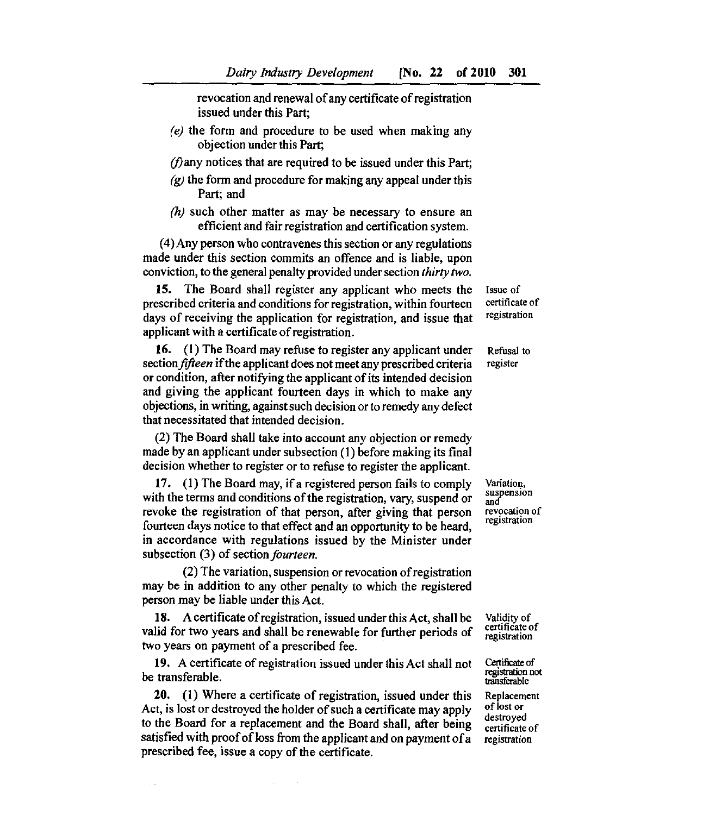revocation and renewal of any certificate of registration issued under this Part;

- *(e)* the form and procedure to be used when making any objection under this Part;
- $(f)$ any notices that are required to be issued under this Part;
- $(q)$  the form and procedure for making any appeal under this Part; and
- $(h)$  such other matter as may be necessary to ensure an efficient and fair registration and certification system.

(4)Any person who contravenes this section or any regulations made under this section commits an offence and is liable, upon conviction, to the general penalty provided under section *thirty two.*

15. The Board shall register any applicant who meets the prescribed criteria and conditions for registration, within fourteen days of receiving the application for registration, and issue that applicant with *a* certificate of registration.

16. (1) The Board may refuse to register any applicant under Refusal to section *fifteen* if the applicant does not meet any prescribed criteria register or condition, after notifying the applicant of its intended decision and giving the applicant fourteen days in which to make any objections, in writing, against such decision or to remedy any defect that necessitated that intended decision.

(2) The Board shall take into account any objection or remedy made by an applicant under subsection (1) before making its final decision whether to register or to refuse to register the applicant.

17. (1) The Board may, if a registered person fails to comply with the terms and conditions of the registration, vary, suspend or revoke the registration of that person, after giving that person fourteen days notice to that effect and an opportunity to be heard, in accordance with regulations issued by the Minister under subsection (3) of section *fourteen.*

(2) The variation, suspension or revocation of registration may be in addition to any other penalty to which the registered person may be liable under this Act.

A certificate of registration, issued under this Act, shall be valid for two years and shall be renewable for further periods of two years on payment of a prescribed fee.

19. A certificate of registration issued under this Act shall not be transferable.

20. (1) Where a certificate of registration, issued under this Act, is lost or destroyed the holder of such a certificate may apply to the Board for a replacement and the Board shall, after being satisfied with proof of loss from the applicant and on payment of a prescribed fee, issue *a* copy of the certificate.

Issue of certificate of registration

Variation, suspension and revocation of registration

Validity of certificate of registration

Certificate of registration not transferable

Replacement of lost or destroyed certificate of registration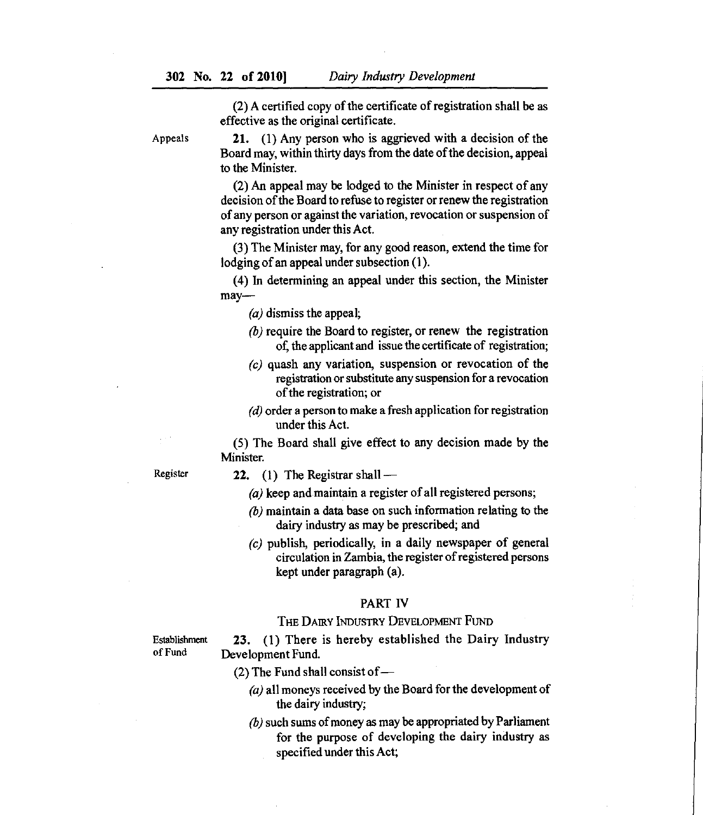(2) A certified copy of the certificate of registration shall be as effective as the original certificate.

Appeals 21. (1) Any person who is aggrieved with a decision of the Board may, within thirty days from the date of the decision, appeal to the Minister.

> An appeal may be lodged to the Minister in respect of any decision of the Board to refuse to register or renew the registration of any person or against the variation, revocation or suspension of any registration under this Act.

> The Minister may, for any good reason, extend the time for lodging of an appeal under subsection (I).

> (4) In determining an appeal under this section, the Minister may—

 $(a)$  dismiss the appeal;

- $\langle b \rangle$  require the Board to register, or renew the registration of, the applicant and issue the certificate of registration;
- $\langle c \rangle$  quash any variation, suspension or revocation of the registration or substitute any suspension for a revocation of the registration; or
- $(d)$  order a person to make a fresh application for registration under this Act.

(5) The Board shall give effect to any decision made by the Minister.

- Register 22. (1) The Registrar shall *—*
	- (a) keep and maintain a register of all registered persons;
	- $(b)$  maintain a data base on such information relating to the dairy industry as may be prescribed; and
	- *(c)* publish, periodically, in a daily newspaper of general circulation in Zambia, the register of registered persons kept under paragraph (a).

#### PART IV

#### THE DAIRY INDUSTRY DEVELOPMENT FUND

Establishment of Fund

23. (1) There is hereby established the Dairy Industry Development Fund.

(2) The Fund shall consist of *—*

- $(a)$  all moneys received by the Board for the development of the dairy industry;
- $(b)$  such sums of money as may be appropriated by Parliament for the purpose of developing the dairy industry as specified under this Act;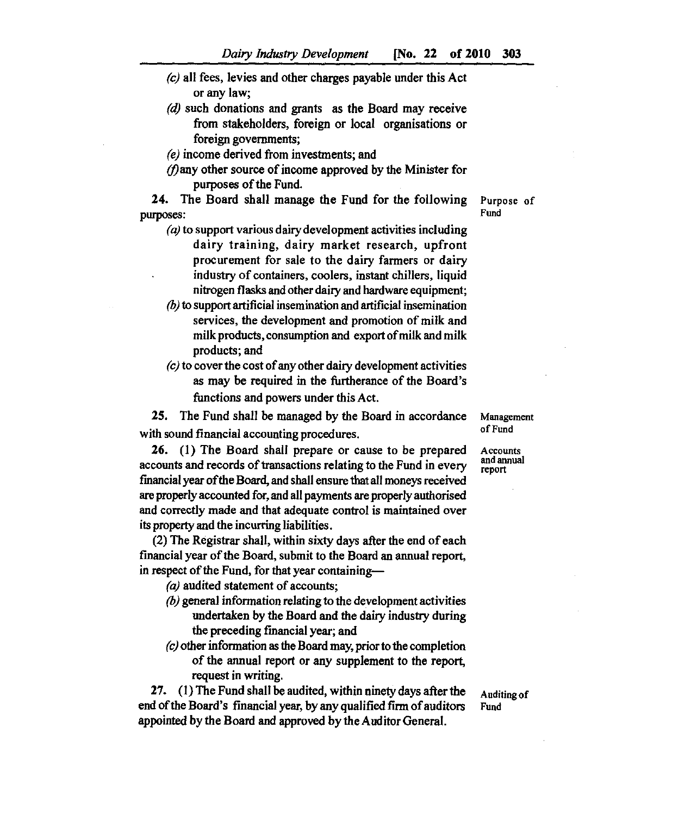- $(c)$  all fees, levies and other charges payable under this Act or any law;
- (d) such donations and grants as the Board may receive from stakeholders, foreign or local organisations or foreign governments;

*(e)* income derived from investments; and

*Many* other source of income approved by the Minister for purposes of the Fund.

24. The Board shall manage the Fund for the following **Purpose of** purposes: Fund

- $(a)$  to support various dairy development activities including dairy training, dairy market research, upfront procurement for sale to the dairy farmers or dairy industry of containers, coolers, instant chillers, liquid nitrogen flasks and other dairy and hardware equipment;
- $\theta$ ) to support artificial insemination and artificial insemination services, the development and promotion of milk and milk products, consumption and export of milk and milk products; and
- *(c)* to cover the cost of any other dairy development activities as may be required in the furtherance of the Board's functions and powers under this Act.

25. The Fund shall be managed by the Board in accordance **Management** with sound financial accounting procedures. The sound of Fund

 26. (1) The Board shall prepare or cause to be prepared **Accounts** accounts and records of transactions relating to the Fund in every fmancial year of the Board, and shall ensure that all moneys received are properly accounted for, and all payments are properly authorised and correctly made and that adequate control is maintained over its property and the incurring liabilities.

(2) The Registrar shall, within sixty days after the end of each financial year of the Board, submit to the Board an annual report, in respect of the Fund, for that year containing—

 $(a)$  audited statement of accounts;

- $(b)$  general information relating to the development activities undertaken by the Board and the dairy industry during the preceding fmancial year; and
- *(c)* other information as the Board may, prior to the completion of the annual report or any supplement to the report, request in writing.

27. (1) The Fund shall be audited, within ninety days after the **Auditing of** end of the Board's financial year, by any qualified firm of auditors Fund appointed by the Board and approved by the Auditor General.

**andan**

report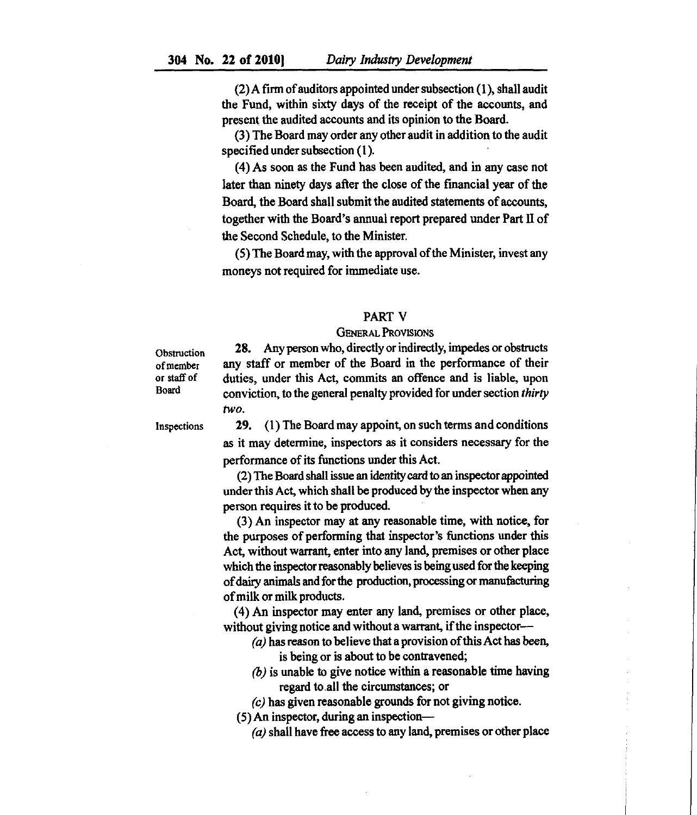$(2)$  A firm of auditors appointed under subsection  $(1)$ , shall audit the Fund, within sixty days of the receipt of the accounts, and present the audited accounts and its opinion to the Board.

The Board may order any other audit in addition to the audit specified under subsection (1).

As soon *as* the Fund has been audited, and in any case not later than ninety days after the close of the financial year of the Board, the Board shall submit the audited statements of accounts, together with the Board's annual report prepared under Part II of the Second Schedule, to the Minister.

(5) The Board may, with the approval of the Minister, invest any moneys not required for immediate use.

#### PART V

#### GENERAL PROVISIONS

**Obstruction** of member or staff of Board

28. Any person who, directly or indirectly, impedes or obstructs any staff or member of the Board in the performance of their duties, under this Act, commits an offence and is liable, upon conviction, to the general penalty provided for under section *thirty two.*

Inspections

29. (1) The Board may appoint, on such terms and conditions as it may determine, inspectors as it considers necessary for the performance of its functions under this Act.

The Board shall issue an identity card to an inspector appointed under this Act, which shall be produced by the inspector when any person requires it to be produced.

An inspector may at any reasonable time, with notice, for the purposes of performing that inspector's functions under this Act, without warrant, enter into any land, premises or other place which the inspector reasonably believes is being used for the keeping of dairy animals and for the production, processing or manufacturing of milk or milk products.

(4) An inspector may enter any land, premises or other place, without giving notice and without a warrant, if the inspector—

- $(a)$  has reason to believe that a provision of this Act has been, is being or is about to be contravened;
- $\langle b \rangle$  is unable to give notice within a reasonable time having regard to all the circumstances; or
- *(c)* has given reasonable grounds for not giving notice.

(5) An inspector, during an inspection—

*(a)* shall have free access to any land, premises or other place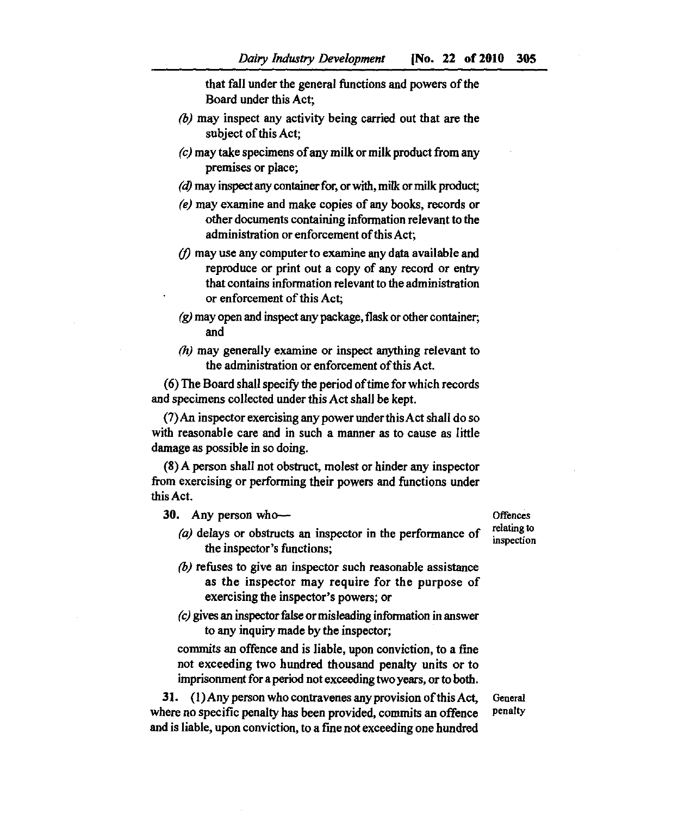that fall under the general functions and powers of the Board under this Act;

- $(b)$  may inspect any activity being carried out that are the subject of this Act;
- $(c)$  may take specimens of any milk or milk product from any premises or place;
- (d) may inspect any container for, or with, milk or milk product;
- *may* examine and make copies of any books, records or other documents containing information relevant to the administration or enforcement of this Act;
- $\eta$  may use any computer to examine any data available and reproduce or print out a copy of any record or entry that contains information relevant to the administration or enforcement of this Act;
- $\chi$  may open and inspect any package, flask or other container; and
- (h) may generally examine or inspect anything relevant to the administration or enforcement of this Act.

The Board shall specify the period of time for which records and specimens collected under this Act shall be kept.

 $(7)$  An inspector exercising any power under this Act shall do so with reasonable care and in such a manner as to cause as little damage *as* possible in so doing.

(8) A person shall not obstruct, molest or hinder any inspector from exercising or performing their powers and functions under this Act.

- 30. Any person who—<br>
Cal delays as shattness an increasing the north manage of relating to *(a)* delays or obstructs an inspector in the performance of **relating to** the inspector's functions;
	- $\langle b \rangle$  refuses to give an inspector such reasonable assistance as the inspector may require for the purpose of exercising the inspector's powers; or
	- $(c)$  gives an inspector false or misleading information in answer to any inquiry made by the inspector;

commits an offence and is liable, upon conviction, to a fine not exceeding two hundred thousand penalty units or to imprisonment for a period not exceeding two years, or to both.

31. (1) Any person who contravenes any provision of this Act, where no specific penalty has been provided, commits an offence and is liable, upon conviction, to a fine not exceeding one hundred

**inspection**

**General penalty**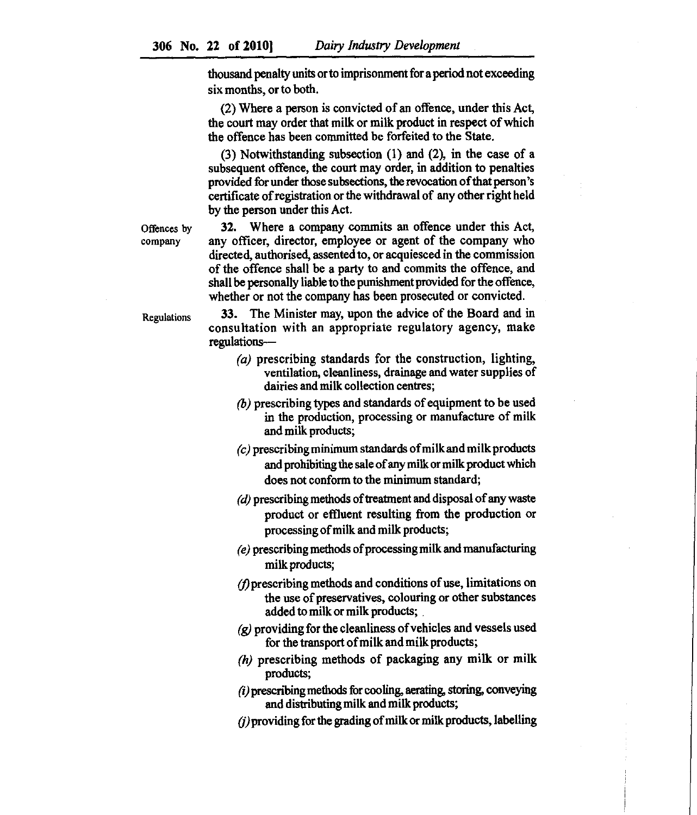thousand penalty units or to imprisonment for a period not exceeding six months, or to both.

Where a person is convicted of an offence, under this Act, the court may order that milk or milk product in respect of which the offence has been committed be forfeited to the State.

 $(3)$  Notwithstanding subsection  $(1)$  and  $(2)$ , in the case of a subsequent offence, the court may order, in addition to penalties provided for under those subsections, the revocation of that person's certificate of registration or the withdrawal of any other right held by the person under this Act.

Offences by company

32. Where a company commits an offence under this Act, any officer, director, employee or agent of the company who directed, authorised, assented to, or acquiesced in the commission of the offence shall be a party to and commits the offence, and shall be personally liable to the punishment provided for the offence, whether or not the company has been prosecuted or convicted.

Regulations

33. The Minister may, upon the advice of the Board and in consultation with an appropriate regulatory agency, make regulations—

- $(a)$  prescribing standards for the construction, lighting, ventilation, cleanliness, drainage and water supplies of dairies and milk collection centres;
- $\phi$ ) prescribing types and standards of equipment to be used in the production, processing or manufacture of milk and milk products;
- $\alpha$ ) prescribing minimum standards of milk and milk products and prohibiting the sale of any milk or milk product which does not conform to the minimum standard;
- $(d)$  prescribing methods of treatment and disposal of any waste product or effluent resulting from the production or processing of milk and milk products;
- *(e)* prescribing methods of processing milk and manufacturing milk products;
- *(fiprescribing* methods and conditions of use, limitations on the use of preservatives, colouring or other substances added to milk or milk products;
- $\chi$ ) providing for the cleanliness of vehicles and vessels used for the transport of milk and milk products;
- $(h)$  prescribing methods of packaging any milk or milk products;
- *C) prescribing* methods for cooling, aerating, storing, conveying and distributing milk and milk products;
- $(i)$  providing for the grading of milk or milk products, labelling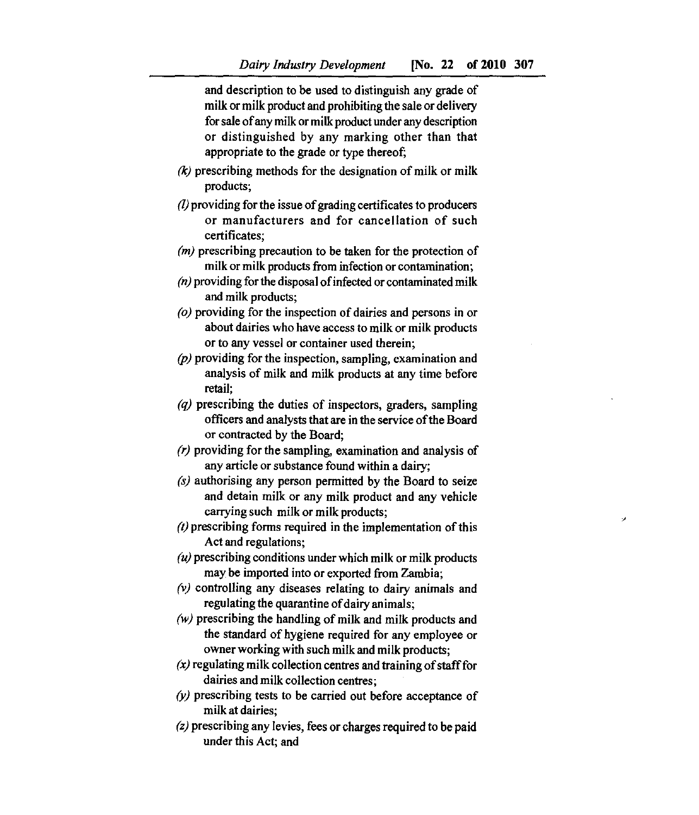and description to be used to distinguish any grade of milk or milk product and prohibiting the sale or delivery for sale of any milk or milk product under any description or distinguished by any marking other than that appropriate to the grade or type thereof;

- *(k)* prescribing methods for the designation of milk or milk products;
- *(I)providing* for the issue of grading certificates to producers or manufacturers and for cancellation of such certificates;
- $(m)$  prescribing precaution to be taken for the protection of milk or milk products from infection or contamination;
- $(n)$  providing for the disposal of infected or contaminated milk and milk products;
- $\rho$ ) providing for the inspection of dairies and persons in or about dairies who have access to milk or milk products or to any vessel or container used therein;
- $(p)$  providing for the inspection, sampling, examination and analysis of milk and milk products at any time before retail;
- $q$ ) prescribing the duties of inspectors, graders, sampling officers and analysts that are in the service of the Board or contracted by the Board;
- $(r)$  providing for the sampling, examination and analysis of any article or substance found within a dairy;
- $(s)$  authorising any person permitted by the Board to seize and detain milk or any milk product and any vehicle carrying such milk or milk products;
- $(t)$  prescribing forms required in the implementation of this Act and regulations;
- $\mu$ ) prescribing conditions under which milk or milk products may be imported into or exported from Zambia;
- $(v)$  controlling any diseases relating to dairy animals and regulating the quarantine of dairy animals;
- $(w)$  prescribing the handling of milk and milk products and the standard of hygiene required for any employee or owner working with such milk and milk products;
- $\alpha$  regulating milk collection centres and training of staff for dairies and milk collection centres;
- $(y)$  prescribing tests to be carried out before acceptance of milk at dairies;
- $(z)$  prescribing any levies, fees or charges required to be paid under this Act; and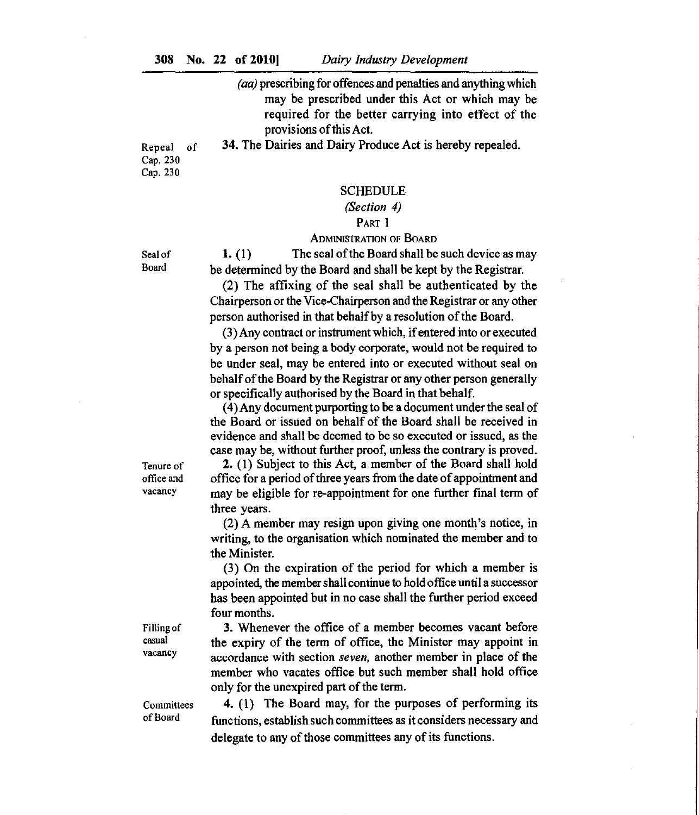*(aa)* prescribing for offences and penalties and anything which may be prescribed under this Act or which may be required for the better carrying into effect of the provisions of this Act.

Repeal of 34. The Dairies and Dairy Produce Act is hereby repealed.

Cap. 230 Cap. 230

#### SCHEDULE

# *(Section 4)*

PART 1

#### ADMINISTRATION OF BOARD

Seal of Board

1. (1) The seal of the Board shall be such device as may be determined by the Board and shall be kept by the Registrar.

 $(2)$  The affixing of the seal shall be authenticated by the Chairperson or the Vice-Chairperson and the Registrar or any other person authorised in that behalf by a resolution of the Board.

Any contract or instrument which, if entered into or executed by a person not being a body corporate, would not be required to be under seal, may be entered into or executed without seal on behalf of the Board by the Registrar or any other person generally or specifically authorised by the Board in that behalf.

(4) Any document purporting to be a document under the seal of the Board or issued on behalf of the Board shall be received in evidence and shall be deemed to be so executed or issued, as the case may be, without further proof, unless the contrary is proved.

2. (1) Subject to this Act, a member of the Board shall hold office for a period of three years from the date of appointment and may be eligible for re-appointment for one further final term of three years.

A member may resign upon giving one month's notice, in writing, to the organisation which nominated the member and to the Minister.

On the expiration of the period for which a member is appointed, the member shall continue to hold office until a successor has been appointed but in no case shall the further period exceed four months.

Whenever the office of a member becomes vacant before the expiry of the term of office, the Minister may appoint in accordance with section *seven,* another member in place of the member who vacates office but such member shall hold office only for the unexpired part of the term.

Committees of Board

Filling of casual vacancy

> (1) The Board may, for the purposes of performing its functions, establish such committees as it considers necessary and delegate to any of those committees any of its functions.

Tenure of office and vacancy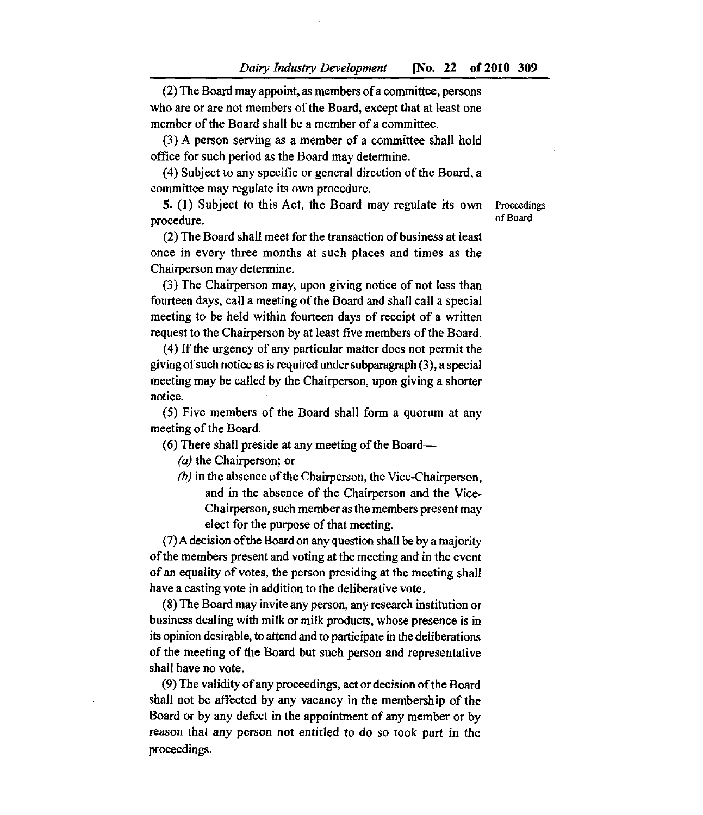(2) The Board may appoint, as members of a committee, persons who are or are not members of the Board, except that at least one member of the Board shall be a member of a committee.

A person serving as a member of a committee shall hold office for such period as the Board may determine.

(4) Subject to any specific or general direction of the Board, a committee may regulate its own procedure.

5. (1) Subject to this Act, the Board may regulate its own Proceedings procedure. The contract of Board results of Board results of Board results of Board results of Board results of Board results of Board results of Board results of Board results of Board results of Board results of Board re

(2) The Board shall meet for the transaction of business at least once in every three months at such places and times as the Chairperson may determine.

 $(3)$  The Chairperson may, upon giving notice of not less than fourteen days, call a meeting of the Board and shall call a special meeting to be held within fourteen days of receipt of a written request to the Chairperson by at least five members of the Board.

If the urgency of any particular matter does not permit the giving of such notice as is required under subparagraph (3), a special meeting may be called by the Chairperson, upon giving *a* shorter notice.

(5) Five members of the Board shall form a quorum at any meeting of the Board.

(6) There shall preside at any meeting of the Board—

 $(a)$  the Chairperson; or

 $(b)$  in the absence of the Chairperson, the Vice-Chairperson, and in the absence of the Chairperson and the Vice-Chairperson, such member as the members present may elect for the purpose of that meeting.

(7)A decision of the Board on any question shall be by a majority of the members present and voting at the meeting and in the event of an equality of votes, the person presiding at the meeting shall have a casting vote in addition to the deliberative vote.

The Board may invite any person, any research institution or business dealing with milk or milk products, whose presence is in its opinion desirable, to attend and to participate in the deliberations of the meeting of the Board but such person and representative shall have no vote.

The validity of any proceedings, act or decision of the Board shall not be affected by any vacancy in the membership of the Board or by any defect in the appointment of any member or by reason that any person not entitled to do so took part in the proceedings.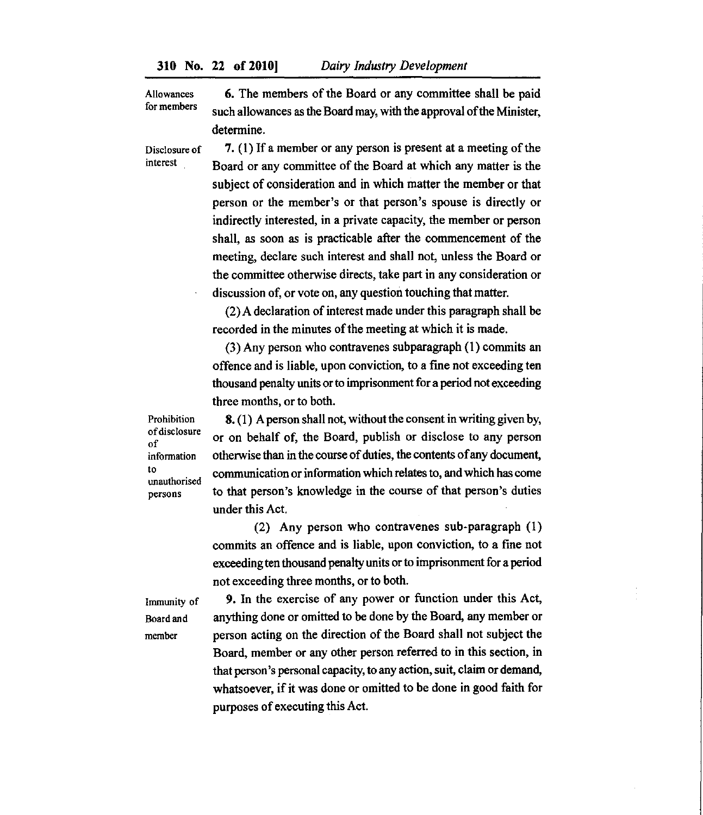Allowances for members The members of the Board or any committee shall be paid such allowances as the Board may, with the approval of the Minister, determine.

Disclosure of (1) If a member or any person is present at a meeting of the Board or any committee of the Board at which any matter is the subject of consideration and in which matter the member or that person or the member's or that person's spouse is directly or indirectly interested, in a private capacity, the member or person shall, *as* soon as is practicable after the commencement of the meeting, declare such interest and shall not, unless the Board or the committee otherwise directs, take part in any consideration or discussion of, or vote on, any question touching that matter.

> A declaration of interest made under this paragraph shall be recorded in the minutes of the meeting at which it is made.

> $(3)$  Any person who contravenes subparagraph  $(1)$  commits an offence and is liable, upon conviction, to a fine not exceeding ten thousand penalty units or to imprisonment for a period not exceeding three months, or to both.

Prohibition of disclosure of information to unauthorised persons

interest

(1) A person shall not, without the consent in writing given by, or on behalf of, the Board, publish or disclose to any person otherwise than in the course of duties, the contents of any document, communication or information which relates to, and which has come to that person's knowledge in the course of that person's duties under this Act.

(2) Any person who contravenes sub-paragraph (1) commits an offence and is liable, upon conviction, to a fine not exceeding ten thousand penalty units or to imprisonment for a period not exceeding three months, or to both.

Immunity of Board and member

9. In the exercise of any power or function under this Act, anything done or omitted to be done by the Board, any member or person acting on the direction of the Board shall not subject the Board, member or any other person referred to in this section, in that person's personal capacity, to any action, suit, claim or demand, whatsoever, if it was done or omitted to be done in good faith for purposes of executing this Act.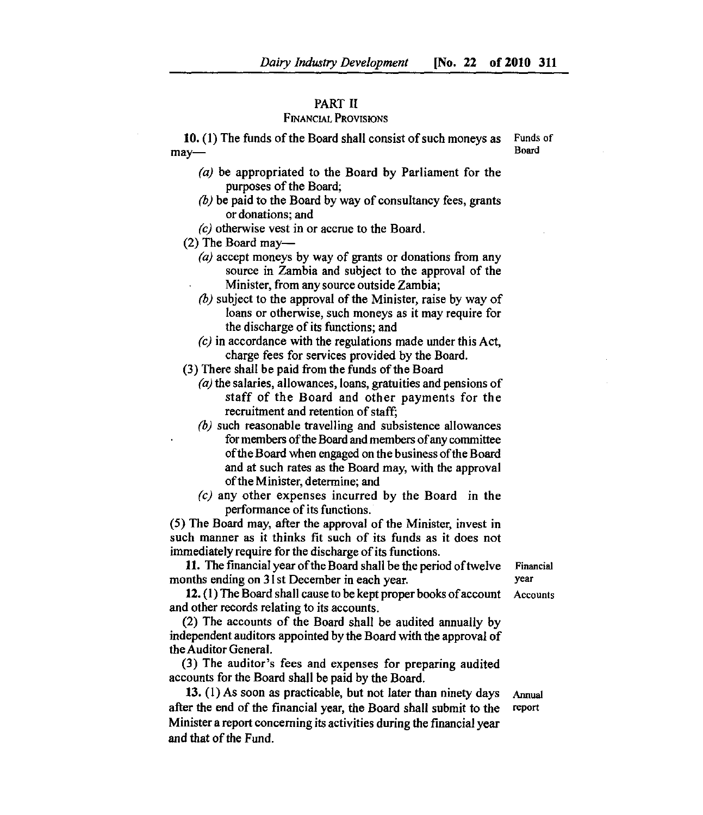## PART H

# FINANCIAL PROVISIONS

10. (1) The funds of the Board shall consist of such moneys as Funds of  $\frac{3v}{500}$ may— Board

- $(a)$  be appropriated to the Board by Parliament for the purposes of the Board;
- $(b)$  be paid to the Board by way of consultancy fees, grants or donations; and
- *(c)* otherwise vest in or accrue to the Board.
- (2) The Board may—
	- $(a)$  accept moneys by way of grants or donations from any source in Zambia and subject to the approval of the Minister, from any source outside Zambia;
	- $(b)$  subject to the approval of the Minister, raise by way of loans or otherwise, such moneys as it may require for the discharge of its functions; and
	- *(c)* in accordance with the regulations made under this Act, charge fees for services provided by the Board.

(3) There shall be paid from the funds of the Board

- $(a)$  the salaries, allowances, loans, gratuities and pensions of staff of the Board and other payments for the recruitment and retention of *staff;*
- $(b)$  such reasonable travelling and subsistence allowances for members of the Board and members of any committee of the Board when engaged on the business of the Board and at such rates as the Board may, with the approval of the Minister, determine; and
- *(c)* any other expenses incurred by the Board in the performance of its functions.

(5) The Board may, after the approval of the Minister, invest in such manner as it thinks fit such of its funds as it does not immediately require for the discharge of its functions.

11. The financial year of the Board shall be the period of twelve Financial months ending on 31st December in each year. year year

12. (1) The Board shall cause to be kept proper books of account Accounts and other records relating to its accounts.

(2) The accounts of the Board shall be audited annually by independent auditors appointed by the Board with the approval of the Auditor General.

(3) The auditor's fees and expenses for preparing audited accounts for the Board shall be paid by the Board.

13. (1) As soon as practicable, but not later than ninety days Annual after the end of the financial year, the Board shall submit to the report Minister a report concerning its activities during the financial year and that of the Fund.